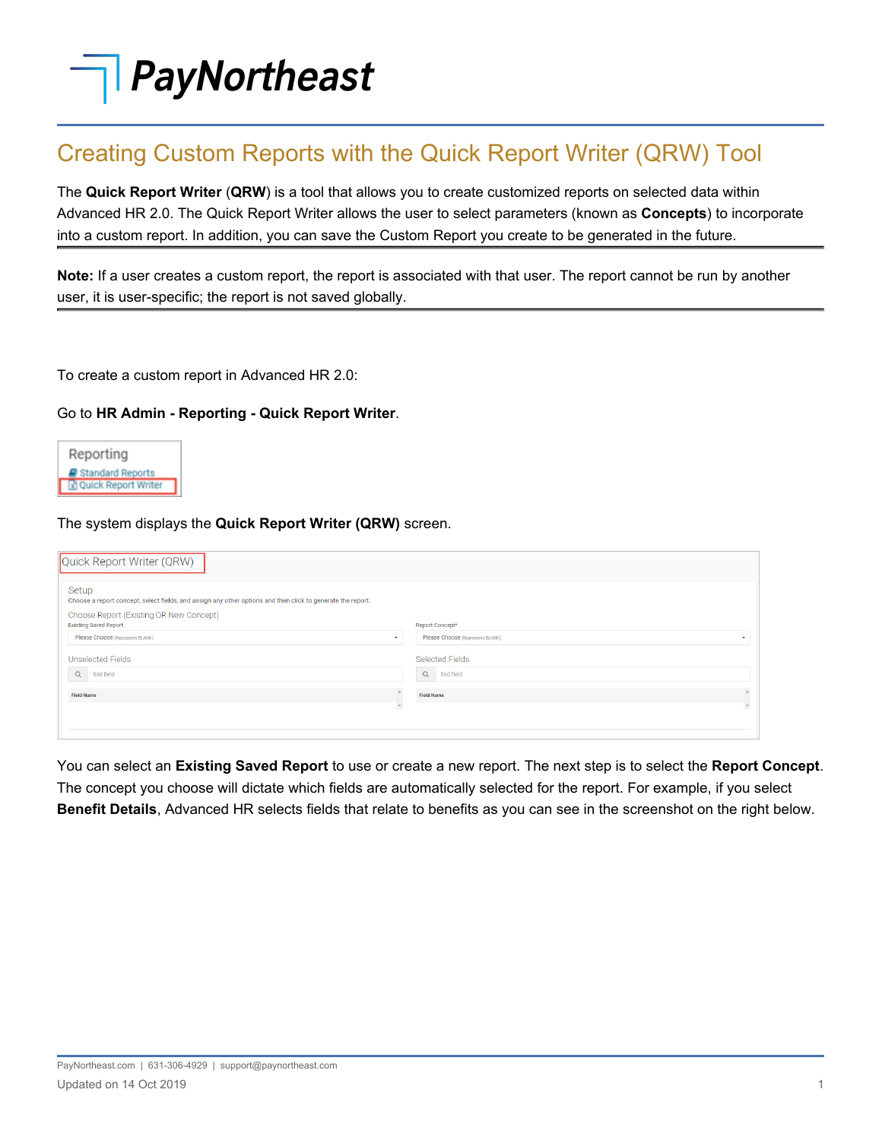# **PayNortheast**

## Creating Custom Reports with the Quick Report Writer (QRW) Tool

The **Quick Report Writer** (**QRW**) is a tool that allows you to create customized reports on selected data within Advanced HR 2.0. The Quick Report Writer allows the user to select parameters (known as **Concepts**) to incorporate into a custom report. In addition, you can save the Custom Report you create to be generated in the future.

**Note:** If a user creates a custom report, the report is associated with that user. The report cannot be run by another user, it is user-specific; the report is not saved globally.

To create a custom report in Advanced HR 2.0:

### Go to **HR Admin - Reporting - Quick Report Writer**.



### The system displays the **Quick Report Writer (QRW)** screen.

| Quick Report Writer (QRW)                                                                                            |                                                                |
|----------------------------------------------------------------------------------------------------------------------|----------------------------------------------------------------|
| Setup<br>Choose a report concept, select fields, and assign any other options and then click to generate the report. |                                                                |
| Choose Report (Existing OR New Concept)<br><b>Existing Saved Report</b>                                              | Report Concept*                                                |
| Please Choose (Represents BLANK)                                                                                     | Please Choose (Represents BLANK)<br>$\checkmark$<br>$\check{}$ |
| Unselected Fields                                                                                                    | Selected Fields                                                |
| Q<br>find field                                                                                                      | Q<br>find field                                                |
| <b>Field Name</b>                                                                                                    | <b>Field Name</b>                                              |
|                                                                                                                      | $\mathbf{v}$<br>$\mathcal{P}$                                  |
|                                                                                                                      |                                                                |
|                                                                                                                      |                                                                |

You can select an **Existing Saved Report** to use or create a new report. The next step is to select the **Report Concept**. The concept you choose will dictate which fields are automatically selected for the report. For example, if you select **Benefit Details**, Advanced HR selects fields that relate to benefits as you can see in the screenshot on the right below.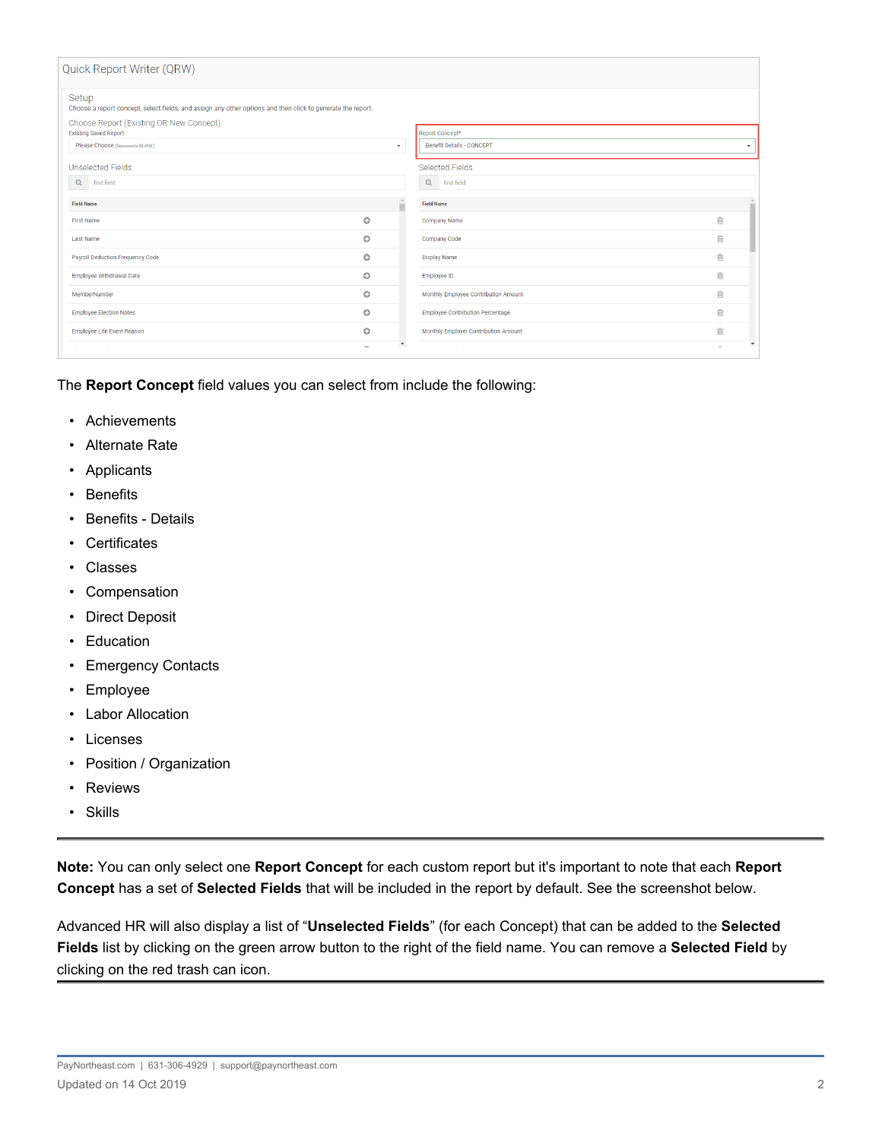| Quick Report Writer (QRW)                                                                                            |                          |                          |                                         |                                 |  |  |  |
|----------------------------------------------------------------------------------------------------------------------|--------------------------|--------------------------|-----------------------------------------|---------------------------------|--|--|--|
| Setup<br>Choose a report concept, select fields, and assign any other options and then click to generate the report. |                          |                          |                                         |                                 |  |  |  |
| Choose Report (Existing OR New Concept)<br><b>Existing Saved Report</b><br>Report Concept*                           |                          |                          |                                         |                                 |  |  |  |
| Please Choose (Represents BLANK)                                                                                     |                          | $\star$                  | <b>Benefit Details - CONCEPT</b>        | $\cdot$                         |  |  |  |
|                                                                                                                      |                          |                          |                                         |                                 |  |  |  |
| <b>Unselected Fields</b>                                                                                             |                          |                          | <b>Selected Fields</b>                  |                                 |  |  |  |
| Q find field                                                                                                         |                          |                          | Q find field                            |                                 |  |  |  |
|                                                                                                                      |                          | $\Delta$                 |                                         |                                 |  |  |  |
| <b>Field Name</b>                                                                                                    |                          | н                        | <b>Field Name</b>                       |                                 |  |  |  |
| <b>First Name</b>                                                                                                    | $\bullet$                |                          | Company Name                            | ⋒                               |  |  |  |
| <b>Last Name</b>                                                                                                     | O                        |                          | Company Code                            | 勔                               |  |  |  |
| Payroll Deduction Frequency Code                                                                                     | O                        |                          | <b>Display Name</b>                     | 勔                               |  |  |  |
| <b>Employee Withdrawal Date</b>                                                                                      | O                        |                          | Employee ID                             | 勔                               |  |  |  |
| MemberNumber                                                                                                         | O                        |                          | Monthly Employee Contribution Amount    | 面                               |  |  |  |
| <b>Employee Election Notes</b>                                                                                       | $\bullet$                |                          | <b>Employee Contribution Percentage</b> | 勔                               |  |  |  |
| Employee Life Event Reason                                                                                           | Ō                        |                          | Monthly Employer Contribution Amount    | 勔                               |  |  |  |
|                                                                                                                      | $\overline{\phantom{0}}$ | $\overline{\phantom{a}}$ |                                         | $\check{\phantom{a}}$<br>$\sim$ |  |  |  |

The **Report Concept** field values you can select from include the following:

- Achievements
- Alternate Rate
- Applicants
- Benefits
- Benefits Details
- Certificates
- Classes
- Compensation
- Direct Deposit
- Education
- Emergency Contacts
- Employee
- Labor Allocation
- Licenses
- Position / Organization
- Reviews
- Skills

**Note:** You can only select one **Report Concept** for each custom report but it's important to note that each **Report Concept** has a set of **Selected Fields** that will be included in the report by default. See the screenshot below.

Advanced HR will also display a list of "**Unselected Fields**" (for each Concept) that can be added to the **Selected Fields** list by clicking on the green arrow button to the right of the field name. You can remove a **Selected Field** by clicking on the red trash can icon.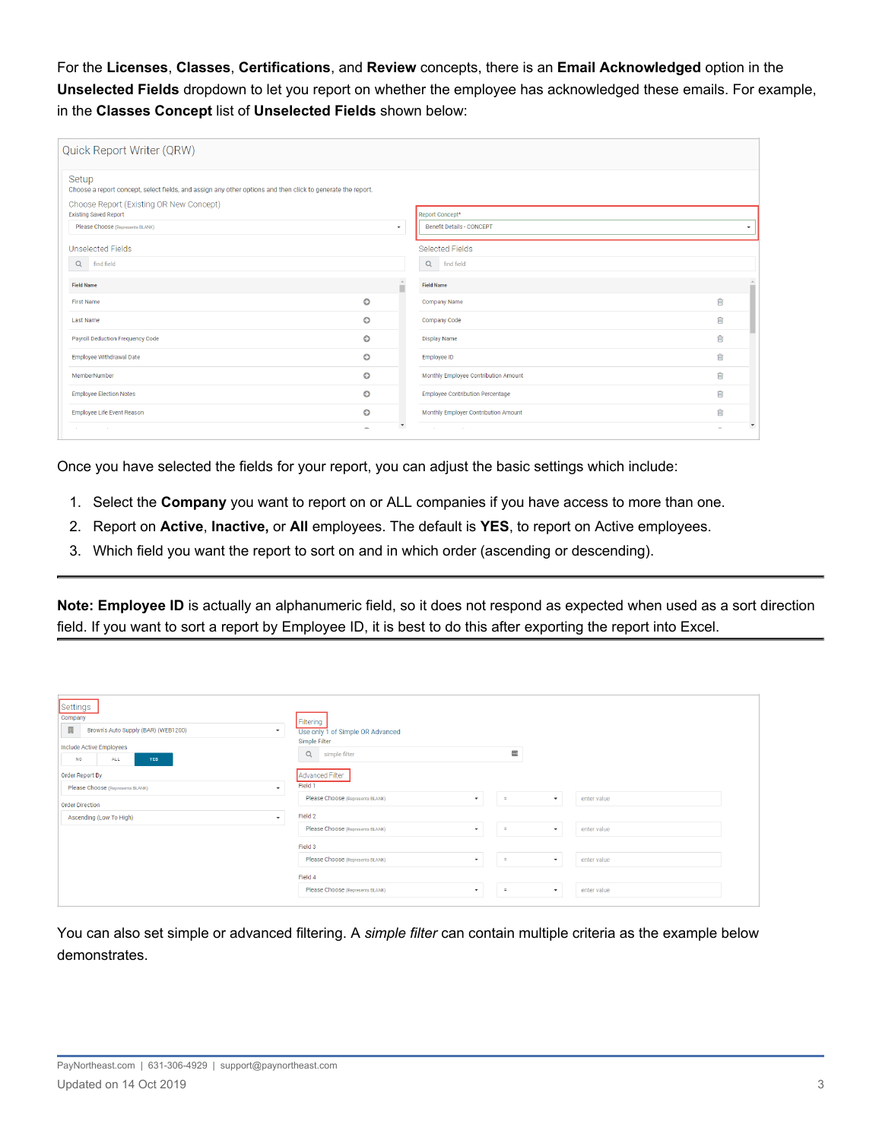For the **Licenses**, **Classes**, **Certifications**, and **Review** concepts, there is an **Email Acknowledged** option in the **Unselected Fields** dropdown to let you report on whether the employee has acknowledged these emails. For example, in the **Classes Concept** list of **Unselected Fields** shown below:

| Quick Report Writer (QRW)                                                                                            |                          |                          |                                         |   |                     |
|----------------------------------------------------------------------------------------------------------------------|--------------------------|--------------------------|-----------------------------------------|---|---------------------|
| Setup<br>Choose a report concept, select fields, and assign any other options and then click to generate the report. |                          |                          |                                         |   |                     |
| Choose Report (Existing OR New Concept)<br><b>Existing Saved Report</b>                                              |                          |                          | Report Concept*                         |   |                     |
| Please Choose (Represents BLANK)                                                                                     |                          | $\star$                  | <b>Benefit Details - CONCEPT</b>        |   | $\scriptstyle\star$ |
| <b>Unselected Fields</b>                                                                                             |                          |                          | <b>Selected Fields</b>                  |   |                     |
| Q find field                                                                                                         |                          |                          | Q<br>find field                         |   |                     |
| <b>Field Name</b>                                                                                                    |                          | -AL<br>н                 | <b>Field Name</b>                       |   |                     |
| <b>First Name</b>                                                                                                    | $\bullet$                |                          | Company Name                            | ⋒ |                     |
| <b>Last Name</b>                                                                                                     | O                        |                          | Company Code                            | 勔 |                     |
| Payroll Deduction Frequency Code                                                                                     | O                        |                          | <b>Display Name</b>                     | 勔 |                     |
| Employee Withdrawal Date                                                                                             | O                        |                          | Employee ID                             | 俞 |                     |
| MemberNumber                                                                                                         | O                        |                          | Monthly Employee Contribution Amount    | ⋒ |                     |
| <b>Employee Election Notes</b>                                                                                       | O                        |                          | <b>Employee Contribution Percentage</b> | 面 |                     |
| Employee Life Event Reason                                                                                           | O                        |                          | Monthly Employer Contribution Amount    | 面 |                     |
| <b>Contract</b>                                                                                                      | $\overline{\phantom{0}}$ | $\overline{\phantom{a}}$ | contractor and<br><b>Section</b>        |   |                     |

Once you have selected the fields for your report, you can adjust the basic settings which include:

- 1. Select the **Company** you want to report on or ALL companies if you have access to more than one.
- 2. Report on **Active**, **Inactive,** or **All** employees. The default is **YES**, to report on Active employees.
- 3. Which field you want the report to sort on and in which order (ascending or descending).

**Note: Employee ID** is actually an alphanumeric field, so it does not respond as expected when used as a sort direction field. If you want to sort a report by Employee ID, it is best to do this after exporting the report into Excel.

| Settings<br>Company<br>目<br>Brown's Auto Supply (BAR) (WEB1200)<br>$\cdot$<br>Include Active Employees<br><b>NO</b><br>ALL<br><b>YES</b><br>Order Report By<br>Please Choose (Represents BLANK)<br>$\check{}$ | Filtering<br>Use only 1 of Simple OR Advanced<br>Simple Filter<br>$\overline{\phantom{a}}$<br>Q<br>simple filter<br>Advanced Filter<br>Field 1 |
|---------------------------------------------------------------------------------------------------------------------------------------------------------------------------------------------------------------|------------------------------------------------------------------------------------------------------------------------------------------------|
| <b>Order Direction</b>                                                                                                                                                                                        | Please Choose (Represents BLANK)<br>enter value<br>$\equiv$<br>$\cdot$<br>$\cdot$                                                              |
| Ascending (Low To High)<br>$\check{}$                                                                                                                                                                         | Field 2                                                                                                                                        |
|                                                                                                                                                                                                               | Please Choose (Represents BLANK)<br>enter value<br>$\equiv$<br>$\checkmark$<br>$\checkmark$                                                    |
|                                                                                                                                                                                                               | Field 3                                                                                                                                        |
|                                                                                                                                                                                                               | Please Choose (Represents BLANK)<br>enter value<br>÷<br>۰<br>$\overline{\phantom{a}}$                                                          |
|                                                                                                                                                                                                               | Field 4                                                                                                                                        |
|                                                                                                                                                                                                               | Please Choose (Represents BLANK)<br>enter value<br>$\equiv$<br>$\overline{\phantom{a}}$<br>$\checkmark$                                        |

You can also set simple or advanced filtering. A *simple filter* can contain multiple criteria as the example below demonstrates.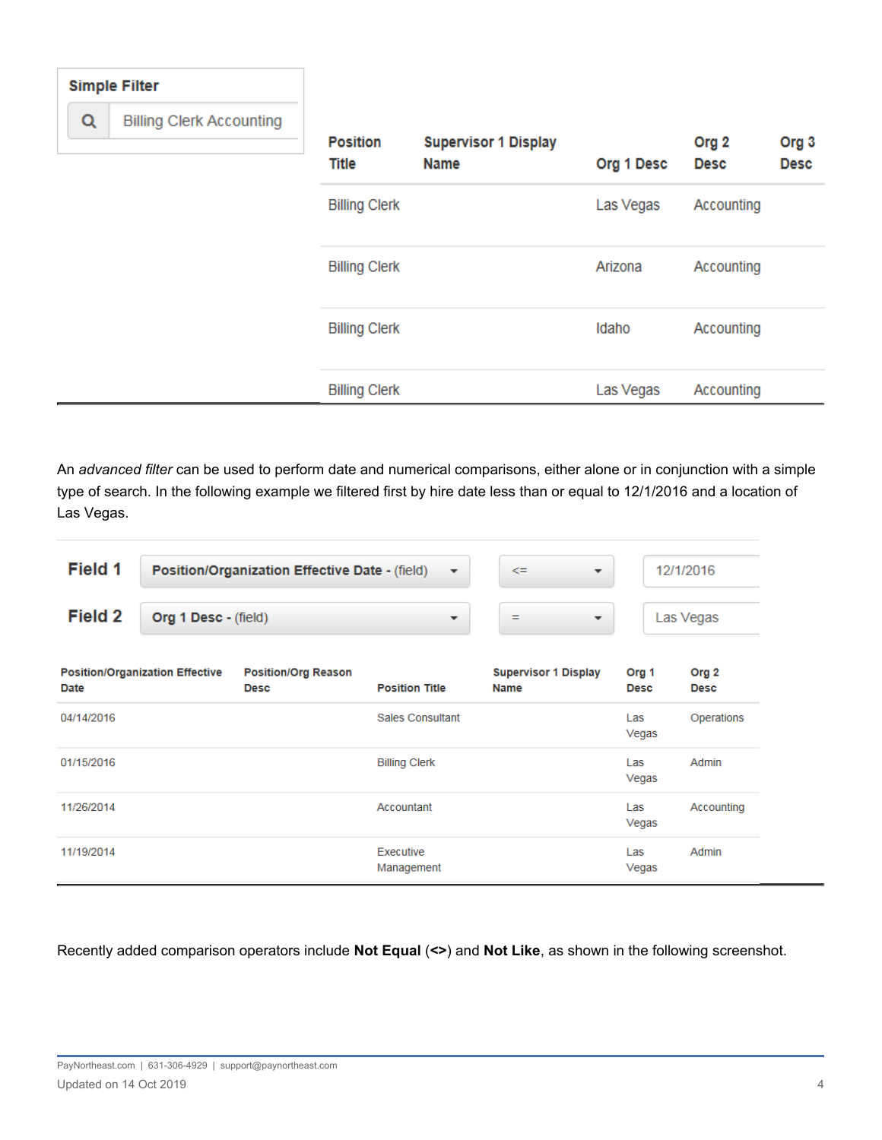| <b>Simple Filter</b>                 |                                 |                                            |            |                                 |                                 |
|--------------------------------------|---------------------------------|--------------------------------------------|------------|---------------------------------|---------------------------------|
| Q<br><b>Billing Clerk Accounting</b> |                                 |                                            |            |                                 |                                 |
|                                      | <b>Position</b><br><b>Title</b> | <b>Supervisor 1 Display</b><br><b>Name</b> | Org 1 Desc | Org <sub>2</sub><br><b>Desc</b> | Org <sub>3</sub><br><b>Desc</b> |
|                                      | <b>Billing Clerk</b>            |                                            | Las Vegas  | Accounting                      |                                 |
|                                      | <b>Billing Clerk</b>            |                                            | Arizona    | Accounting                      |                                 |
|                                      | <b>Billing Clerk</b>            |                                            | Idaho      | Accounting                      |                                 |
|                                      | <b>Billing Clerk</b>            |                                            | Las Vegas  | Accounting                      |                                 |

An *advanced filter* can be used to perform date and numerical comparisons, either alone or in conjunction with a simple type of search. In the following example we filtered first by hire date less than or equal to 12/1/2016 and a location of Las Vegas.

| Field 1 | Position/Organization Effective Date - (field) |                          | <= | 12/1/2016 |
|---------|------------------------------------------------|--------------------------|----|-----------|
| Field 2 | Org 1 Desc - (field)                           | $\overline{\phantom{a}}$ | =  | Las Vegas |

| <b>Position/Organization Effective</b><br>Date | <b>Position/Org Reason</b><br><b>Desc</b> | <b>Position Title</b>   | <b>Supervisor 1 Display</b><br><b>Name</b> | Org <sub>1</sub><br><b>Desc</b> | Org <sub>2</sub><br><b>Desc</b> |
|------------------------------------------------|-------------------------------------------|-------------------------|--------------------------------------------|---------------------------------|---------------------------------|
| 04/14/2016                                     |                                           | <b>Sales Consultant</b> |                                            | Las<br>Vegas                    | Operations                      |
| 01/15/2016                                     |                                           | <b>Billing Clerk</b>    |                                            | Las<br>Vegas                    | Admin                           |
| 11/26/2014                                     |                                           | Accountant              |                                            | Las<br>Vegas                    | Accounting                      |
| 11/19/2014                                     |                                           | Executive<br>Management |                                            | Las<br>Vegas                    | Admin                           |

Recently added comparison operators include **Not Equal** (**<>**) and **Not Like**, as shown in the following screenshot.